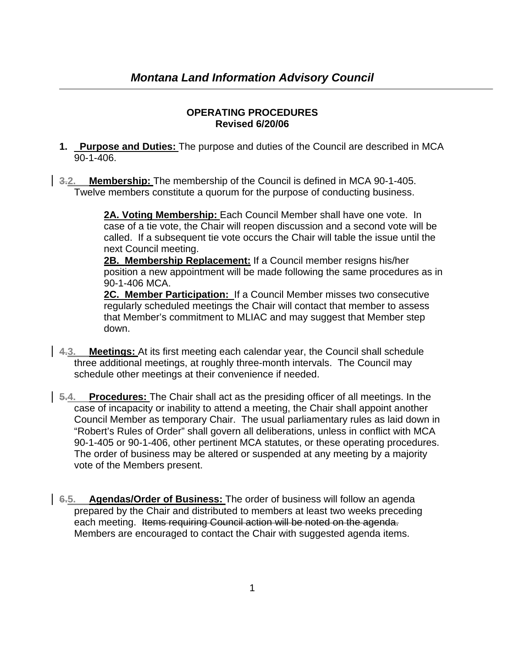## **OPERATING PROCEDURES Revised 6/20/06**

- **1. Purpose and Duties:** The purpose and duties of the Council are described in MCA 90-1-406.
- **3.2. Membership:** The membership of the Council is defined in MCA 90-1-405. Twelve members constitute a quorum for the purpose of conducting business.

**2A. Voting Membership:** Each Council Member shall have one vote. In case of a tie vote, the Chair will reopen discussion and a second vote will be called. If a subsequent tie vote occurs the Chair will table the issue until the next Council meeting.

**2B. Membership Replacement:** If a Council member resigns his/her position a new appointment will be made following the same procedures as in 90-1-406 MCA.

**2C. Member Participation:** If a Council Member misses two consecutive regularly scheduled meetings the Chair will contact that member to assess that Member's commitment to MLIAC and may suggest that Member step down.

- **4.3. Meetings:** At its first meeting each calendar year, the Council shall schedule three additional meetings, at roughly three-month intervals. The Council may schedule other meetings at their convenience if needed.
- **5.4. Procedures:** The Chair shall act as the presiding officer of all meetings. In the case of incapacity or inability to attend a meeting, the Chair shall appoint another Council Member as temporary Chair. The usual parliamentary rules as laid down in "Robert's Rules of Order" shall govern all deliberations, unless in conflict with MCA 90-1-405 or 90-1-406, other pertinent MCA statutes, or these operating procedures. The order of business may be altered or suspended at any meeting by a majority vote of the Members present.
- **6.5. Agendas/Order of Business:** The order of business will follow an agenda prepared by the Chair and distributed to members at least two weeks preceding each meeting. Items requiring Council action will be noted on the agenda. Members are encouraged to contact the Chair with suggested agenda items.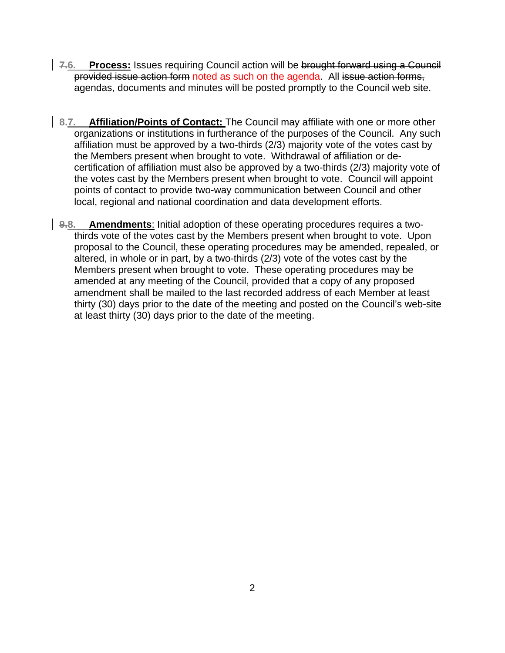- 7.6. Process: Issues requiring Council action will be brought forward using a Council provided issue action form noted as such on the agenda. All issue action forms, agendas, documents and minutes will be posted promptly to the Council web site.
- 8.7. Affiliation/Points of Contact: The Council may affiliate with one or more other **CONFIGURE 10 ATTLE 2018 THE EXAMPLE 2018 THE EXAMPLE 2018 THE COUNCIL** Any such affiliation must be approved by a two-thirds (2/3) majority vote of the votes cast by the Members present when brought to vote. Withdrawal of affiliation or decertification of affiliation must also be approved by a two-thirds (2/3) majority vote of the votes cast by the Members present when brought to vote. Council will appoint points of contact to provide two-way communication between Council and other local, regional and national coordination and data development efforts.
- **9.8. Amendments**: Initial adoption of these operating procedures requires a twothirds vote of the votes cast by the Members present when brought to vote. Upon proposal to the Council, these operating procedures may be amended, repealed, or altered, in whole or in part, by a two-thirds (2/3) vote of the votes cast by the Members present when brought to vote. These operating procedures may be amended at any meeting of the Council, provided that a copy of any proposed amendment shall be mailed to the last recorded address of each Member at least thirty (30) days prior to the date of the meeting and posted on the Council's web-site at least thirty (30) days prior to the date of the meeting.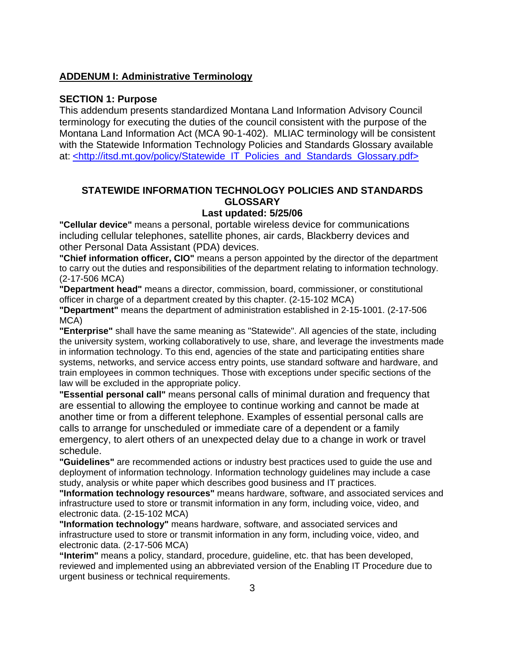### **ADDENUM I: Administrative Terminology**

#### **SECTION 1: Purpose**

This addendum presents standardized Montana Land Information Advisory Council terminology for executing the duties of the council consistent with the purpose of the Montana Land Information Act (MCA 90-1-402). MLIAC terminology will be consistent with the Statewide Information Technology Policies and Standards Glossary available at: <http://itsd.mt.gov/policy/Statewide\_IT\_Policies\_and\_Standards\_Glossary.pdf>

# **STATEWIDE INFORMATION TECHNOLOGY POLICIES AND STANDARDS GLOSSARY**

#### **Last updated: 5/25/06**

**"Cellular device"** means a personal, portable wireless device for communications including cellular telephones, satellite phones, air cards, Blackberry devices and other Personal Data Assistant (PDA) devices.

**"Chief information officer, CIO"** means a person appointed by the director of the department to carry out the duties and responsibilities of the department relating to information technology. (2-17-506 MCA)

**"Department head"** means a director, commission, board, commissioner, or constitutional officer in charge of a department created by this chapter. (2-15-102 MCA)

**"Department"** means the department of administration established in 2-15-1001. (2-17-506 MCA)

**"Enterprise"** shall have the same meaning as "Statewide". All agencies of the state, including the university system, working collaboratively to use, share, and leverage the investments made in information technology. To this end, agencies of the state and participating entities share systems, networks, and service access entry points, use standard software and hardware, and train employees in common techniques. Those with exceptions under specific sections of the law will be excluded in the appropriate policy.

**"Essential personal call"** means personal calls of minimal duration and frequency that are essential to allowing the employee to continue working and cannot be made at another time or from a different telephone. Examples of essential personal calls are calls to arrange for unscheduled or immediate care of a dependent or a family emergency, to alert others of an unexpected delay due to a change in work or travel schedule.

**"Guidelines"** are recommended actions or industry best practices used to guide the use and deployment of information technology. Information technology guidelines may include a case study, analysis or white paper which describes good business and IT practices.

**"Information technology resources"** means hardware, software, and associated services and infrastructure used to store or transmit information in any form, including voice, video, and electronic data. (2-15-102 MCA)

**"Information technology"** means hardware, software, and associated services and infrastructure used to store or transmit information in any form, including voice, video, and electronic data. (2-17-506 MCA)

**"Interim"** means a policy, standard, procedure, guideline, etc. that has been developed, reviewed and implemented using an abbreviated version of the Enabling IT Procedure due to urgent business or technical requirements.